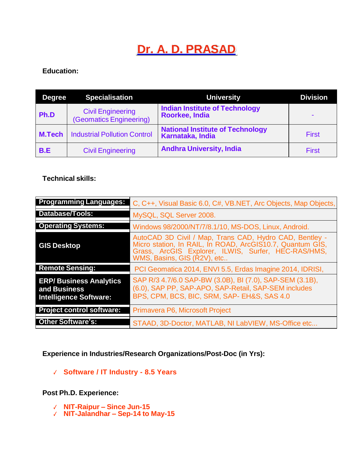# **Dr. A. D. PRASAD**

# **Education:**

| <b>Degree</b> | <b>Specialisation</b>                               | <b>University</b>                                           | <b>Division</b> |
|---------------|-----------------------------------------------------|-------------------------------------------------------------|-----------------|
| Ph.D          | <b>Civil Engineering</b><br>(Geomatics Engineering) | <b>Indian Institute of Technology</b><br>Roorkee, India     | $\blacksquare$  |
| <b>M.Tech</b> | <b>Industrial Pollution Control</b>                 | <b>National Institute of Technology</b><br>Karnataka, India | <b>First</b>    |
| B.E           | <b>Civil Engineering</b>                            | <b>Andhra University, India</b>                             | <b>First</b>    |

## **Technical skills:**

| <b>Programming Languages:</b>                                                  | C, C++, Visual Basic 6.0, C#, VB.NET, Arc Objects, Map Objects,                                                                                                                                            |  |
|--------------------------------------------------------------------------------|------------------------------------------------------------------------------------------------------------------------------------------------------------------------------------------------------------|--|
| Database/Tools:                                                                | MySQL, SQL Server 2008.                                                                                                                                                                                    |  |
| <b>Operating Systems:</b>                                                      | Windows 98/2000/NT/7/8.1/10, MS-DOS, Linux, Android.                                                                                                                                                       |  |
| <b>GIS Desktop</b>                                                             | AutoCAD 3D Civil / Map, Trans CAD, Hydro CAD, Bentley -<br>Micro station, In RAIL, In ROAD, ArcGIS10.7, Quantum GIS,<br>Grass, ArcGIS Explorer, ILWIS, Surfer, HEC-RAS/HMS,<br>WMS, Basins, GIS (R2V), etc |  |
| <b>Remote Sensing:</b>                                                         | PCI Geomatica 2014, ENVI 5.5, Erdas Imagine 2014, IDRISI,                                                                                                                                                  |  |
| <b>ERP/Business Analytics</b><br>and Business<br><b>Intelligence Software:</b> | SAP R/3 4.7/6.0 SAP-BW (3.0B), BI (7.0), SAP-SEM (3.1B),<br>(6.0), SAP PP, SAP-APO, SAP-Retail, SAP-SEM includes<br>BPS, CPM, BCS, BIC, SRM, SAP- EH&S, SAS 4.0                                            |  |
| <b>Project control software:</b>                                               | Primavera P6, Microsoft Project                                                                                                                                                                            |  |
| <b>Other Software's:</b>                                                       | STAAD, 3D-Doctor, MATLAB, NI LabVIEW, MS-Office etc                                                                                                                                                        |  |

**Experience in Industries/Research Organizations/Post-Doc (in Yrs):** 

✓ **Software / IT Industry - 8.5 Years**

**Post Ph.D. Experience:**

- ✓ **NIT-Raipur – Since Jun-15**
- ✓ **NIT-Jalandhar – Sep-14 to May-15**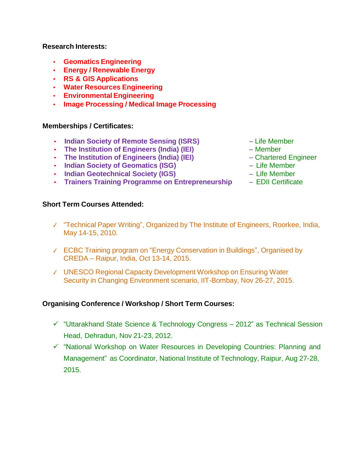#### **Research Interests:**

- **Geomatics Engineering**
- **Energy / Renewable Energy**
- **RS & GIS Applications**
- **Water Resources Engineering**
- **Environmental Engineering**
- **Image Processing / Medical Image Processing**

#### **Memberships / Certificates:**

- **Indian Society of Remote Sensing (ISRS)** Life Member
- **The Institution of Engineers (India) (IEI)** Member
- **The Institution of Engineers (India) (IEI)** Chartered Engineer
- **Indian Society of Geomatics (ISG)** Life Member
- **Indian Geotechnical Society (IGS)** Life Member
- **Trainers Training Programme on Entrepreneurship** EDII Certificate

## **Short Term Courses Attended:**

- 
- 
- 
- 
- 
- 
- ✓ "Technical Paper Writing", Organized by The Institute of Engineers, Roorkee, India, May 14-15, 2010.
- ✓ ECBC Training program on "Energy Conservation in Buildings", Organised by CREDA – Raipur, India, Oct 13-14, 2015.
- ✓ UNESCO Regional Capacity Development Workshop on Ensuring Water Security in Changing Environment scenario, IIT-Bombay, Nov 26-27, 2015.

## **Organising Conference / Workshop / Short Term Courses:**

- ✓ "Uttarakhand State Science & Technology Congress 2012" as Technical Session Head, Dehradun, Nov 21-23, 2012.
- ✓ "National Workshop on Water Resources in Developing Countries: Planning and Management" as Coordinator, National Institute of Technology, Raipur, Aug 27-28, 2015.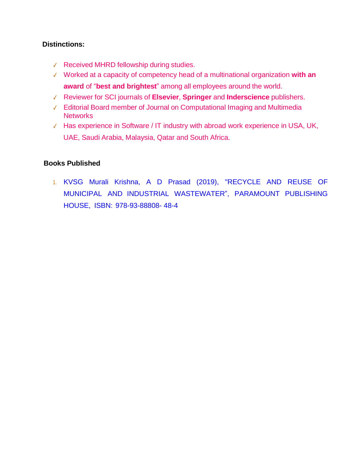## **Distinctions:**

- ✓ Received MHRD fellowship during studies.
- ✓ Worked at a capacity of competency head of a multinational organization **with an award** of "**best and brightest**" among all employees around the world.
- ✓ Reviewer for SCI journals of **Elsevier**, **Springer** and **Inderscience** publishers.
- ✓ Editorial Board member of Journal on Computational Imaging and Multimedia **Networks**
- ✓ Has experience in Software / IT industry with abroad work experience in USA, UK, UAE, Saudi Arabia, Malaysia, Qatar and South Africa.

## **Books Published**

1. KVSG Murali Krishna, A D Prasad (2019), "RECYCLE AND REUSE OF MUNICIPAL AND INDUSTRIAL WASTEWATER", PARAMOUNT PUBLISHING HOUSE, ISBN: 978-93-88808- 48-4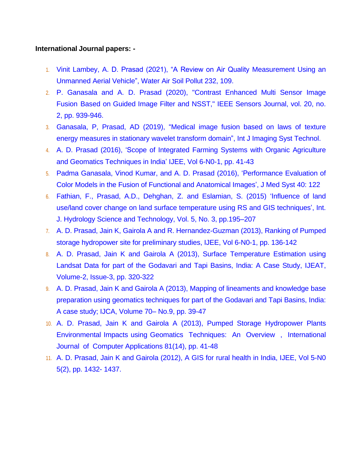#### **International Journal papers: -**

- 1. Vinit Lambey, A. D. Prasad (2021), "A Review on Air Quality Measurement Using an Unmanned Aerial Vehicle", Water Air Soil Pollut 232, 109.
- 2. P. Ganasala and A. D. Prasad (2020), "Contrast Enhanced Multi Sensor Image Fusion Based on Guided Image Filter and NSST," IEEE Sensors Journal, vol. 20, no. 2, pp. 939-946.
- 3. Ganasala, P, Prasad, AD (2019), "Medical image fusion based on laws of texture energy measures in stationary wavelet transform domain", Int J Imaging Syst Technol.
- 4. A. D. Prasad (2016), 'Scope of Integrated Farming Systems with Organic Agriculture and Geomatics Techniques in India' IJEE, Vol 6-N0-1, pp. 41-43
- 5. Padma Ganasala, Vinod Kumar, and A. D. Prasad (2016), 'Performance Evaluation of Color Models in the Fusion of Functional and Anatomical Images', J Med Syst 40: 122
- 6. Fathian, F., Prasad, A.D., Dehghan, Z. and Eslamian, S. (2015) 'Influence of land use/land cover change on land surface temperature using RS and GIS techniques', Int. J. Hydrology Science and Technology, Vol. 5, No. 3, pp.195–207
- 7. A. D. Prasad, Jain K, Gairola A and R. Hernandez-Guzman (2013), Ranking of Pumped storage hydropower site for preliminary studies, IJEE, Vol 6-N0-1, pp. 136-142
- 8. A. D. Prasad, Jain K and Gairola A (2013), Surface Temperature Estimation using Landsat Data for part of the Godavari and Tapi Basins, India: A Case Study, IJEAT, Volume-2, Issue-3, pp. 320-322
- 9. A. D. Prasad, Jain K and Gairola A (2013), Mapping of lineaments and knowledge base preparation using geomatics techniques for part of the Godavari and Tapi Basins, India: A case study; IJCA, Volume 70– No.9, pp. 39-47
- 10. A. D. Prasad, Jain K and Gairola A (2013), Pumped Storage Hydropower Plants Environmental Impacts using Geomatics Techniques: An Overview , International Journal of Computer Applications 81(14), pp. 41-48
- 11. A. D. Prasad, Jain K and Gairola (2012), A GIS for rural health in India, IJEE, Vol 5-N0 5(2), pp. 1432- 1437.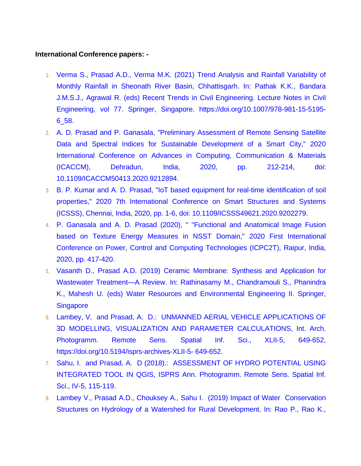#### **International Conference papers: -**

- 1. Verma S., Prasad A.D., Verma M.K. (2021) Trend Analysis and Rainfall Variability of Monthly Rainfall in Sheonath River Basin, Chhattisgarh. In: Pathak K.K., Bandara J.M.S.J., Agrawal R. (eds) Recent Trends in Civil Engineering. Lecture Notes in Civil Engineering, vol 77. Springer, Singapore. https://doi.org/10.1007/978-981-15-5195- 6\_58.
- 2. A. D. Prasad and P. Ganasala, "Preliminary Assessment of Remote Sensing Satellite Data and Spectral Indices for Sustainable Development of a Smart City," 2020 International Conference on Advances in Computing, Communication & Materials (ICACCM), Dehradun, India, 2020, pp. 212-214, doi: 10.1109/ICACCM50413.2020.9212894.
- 3. B. P. Kumar and A. D. Prasad, "IoT based equipment for real-time identification of soil properties," 2020 7th International Conference on Smart Structures and Systems (ICSSS), Chennai, India, 2020, pp. 1-6, doi: 10.1109/ICSSS49621.2020.9202279.
- 4. P. Ganasala and A. D. Prasad (2020), " "Functional and Anatomical Image Fusion based on Texture Energy Measures in NSST Domain," 2020 First International Conference on Power, Control and Computing Technologies (ICPC2T), Raipur, India, 2020, pp. 417-420.
- 5. Vasanth D., Prasad A.D. (2019) Ceramic Membrane: Synthesis and Application for Wastewater Treatment-A Review. In: Rathinasamy M., Chandramouli S., Phanindra K., Mahesh U. (eds) Water Resources and Environmental Engineering II. Springer, **Singapore**
- 6. Lambey, V. and Prasad, A. D.: UNMANNED AERIAL VEHICLE APPLICATIONS OF 3D MODELLING, VISUALIZATION AND PARAMETER CALCULATIONS, Int. Arch. Photogramm. Remote Sens. Spatial Inf. Sci., XLII-5, 649-652, https://doi.org/10.5194/isprs-archives-XLII-5- 649-652.
- 7. Sahu, I. and Prasad, A. D (2018).: ASSESSMENT OF HYDRO POTENTIAL USING INTEGRATED TOOL IN QGIS, ISPRS Ann. Photogramm. Remote Sens. Spatial Inf. Sci., IV-5, 115-119.
- 8. Lambey V., Prasad A.D., Chouksey A., Sahu I. (2019) Impact of Water Conservation Structures on Hydrology of a Watershed for Rural Development. In: Rao P., Rao K.,